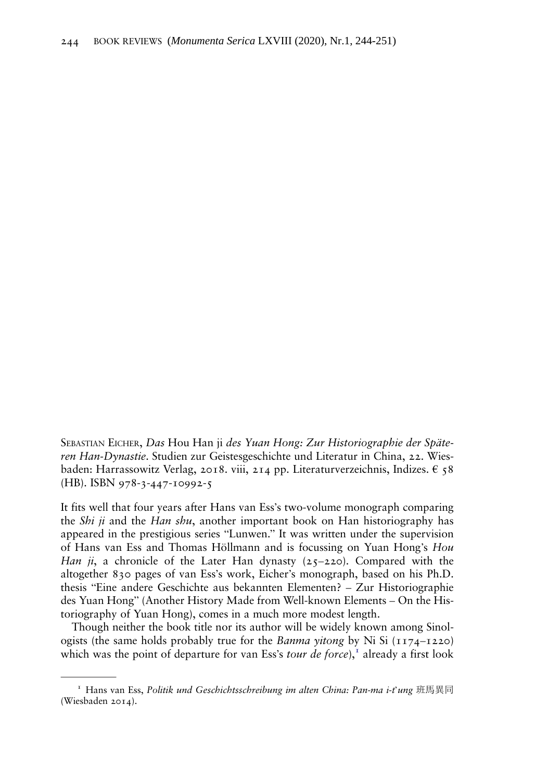SEBASTIAN EICHER, Das Hou Han ji des Yuan Hong: Zur Historiographie der Späteren Han-Dynastie. Studien zur Geistesgeschichte und Literatur in China, 22. Wiesbaden: Harrassowitz Verlag, 2018. viii, 214 pp. Literaturverzeichnis, Indizes.  $\epsilon$  58 (HB). ISBN 978-3-447-10992-5

It fits well that four years after Hans van Ess's two-volume monograph comparing the *Shi ji* and the *Han shu*, another important book on Han historiography has appeared in the prestigious series "Lunwen." It was written under the supervision of Hans van Ess and Thomas Höllmann and is focussing on Yuan Hong's Hou Han ji, a chronicle of the Later Han dynasty  $(25-220)$ . Compared with the altogether 830 pages of van Ess's work, Eicher's monograph, based on his Ph.D. thesis "Eine andere Geschichte aus bekannten Elementen? – Zur Historiographie des Yuan Hong" (Another History Made from Well-known Elements – On the Historiography of Yuan Hong), comes in a much more modest length.

Though neither the book title nor its author will be widely known among Sinologists (the same holds probably true for the *Banma yitong* by Ni Si  $(1174-1220)$ which was the point of departure for van Ess's *tour de force*), $\frac{1}{1}$  already a first look

<sup>&</sup>lt;sup>1</sup> Hans van Ess, Politik und Geschichtsschreibung im alten China: Pan-ma i-t'ung 班馬異同 (Wiesbaden 2014).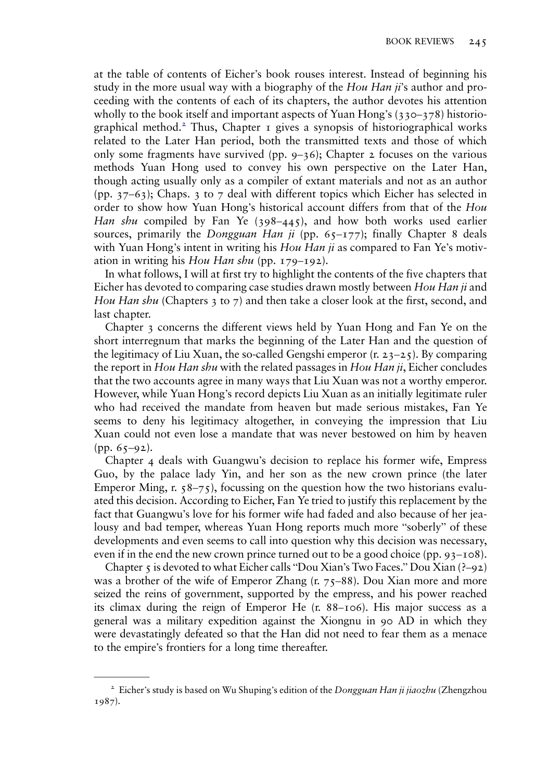at the table of contents of Eicher's book rouses interest. Instead of beginning his study in the more usual way with a biography of the  $Hou Han ii's$  author and proceeding with the contents of each of its chapters, the author devotes his attention wholly to the book itself and important aspects of Yuan Hong's (330–378) historiographical method.<sup>2</sup> Thus, Chapter  $\bar{1}$  gives a synopsis of historiographical works related to the Later Han period, both the transmitted texts and those of which only some fragments have survived (pp.  $9-36$ ); Chapter 2 focuses on the various methods Yuan Hong used to convey his own perspective on the Later Han, though acting usually only as a compiler of extant materials and not as an author (pp.  $37-63$ ); Chaps. 3 to 7 deal with different topics which Eicher has selected in order to show how Yuan Hong's historical account differs from that of the Hou Han shu compiled by Fan Ye  $(398-445)$ , and how both works used earlier sources, primarily the Dongguan Han ji (pp.  $65-177$ ); finally Chapter 8 deals with Yuan Hong's intent in writing his  $Hou Han ji$  as compared to Fan Ye's motivation in writing his Hou Han shu (pp. 179–192).

In what follows, I will at first try to highlight the contents of the five chapters that Eicher has devoted to comparing case studies drawn mostly between Hou Han ji and Hou Han shu (Chapters 3 to 7) and then take a closer look at the first, second, and last chapter.

Chapter 3 concerns the different views held by Yuan Hong and Fan Ye on the short interregnum that marks the beginning of the Later Han and the question of the legitimacy of Liu Xuan, the so-called Gengshi emperor  $(r, 23-25)$ . By comparing the report in Hou Han shu with the related passages in Hou Han  $ji$ , Eicher concludes that the two accounts agree in many ways that Liu Xuan was not a worthy emperor. However, while Yuan Hong's record depicts Liu Xuan as an initially legitimate ruler who had received the mandate from heaven but made serious mistakes, Fan Ye seems to deny his legitimacy altogether, in conveying the impression that Liu Xuan could not even lose a mandate that was never bestowed on him by heaven  $(pp. 65-92).$ 

Chapter 4 deals with Guangwu's decision to replace his former wife, Empress Guo, by the palace lady Yin, and her son as the new crown prince (the later Emperor Ming, r.  $58-75$ , focussing on the question how the two historians evaluated this decision. According to Eicher, Fan Ye tried to justify this replacement by the fact that Guangwu's love for his former wife had faded and also because of her jealousy and bad temper, whereas Yuan Hong reports much more "soberly" of these developments and even seems to call into question why this decision was necessary, even if in the end the new crown prince turned out to be a good choice (pp.  $93-108$ ).

Chapter 5 is devoted to what Eicher calls "Dou Xian's Two Faces." Dou Xian  $(2-92)$ was a brother of the wife of Emperor Zhang  $(r, 75-88)$ . Dou Xian more and more seized the reins of government, supported by the empress, and his power reached its climax during the reign of Emperor He (r. 88–106). His major success as a general was a military expedition against the Xiongnu in 90 AD in which they were devastatingly defeated so that the Han did not need to fear them as a menace to the empire's frontiers for a long time thereafter.

<sup>&</sup>lt;sup>2</sup> Eicher's study is based on Wu Shuping's edition of the *Dongguan Han ji jiaozhu* (Zhengzhou 1987).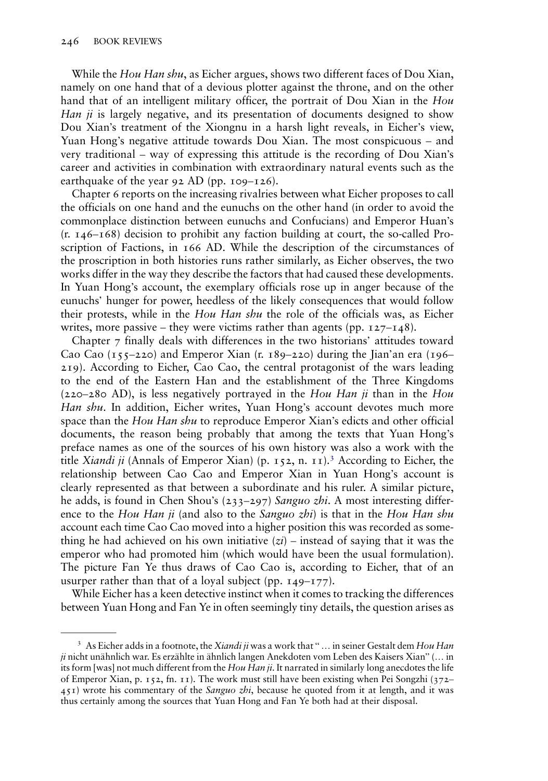While the Hou Han shu, as Eicher argues, shows two different faces of Dou Xian, namely on one hand that of a devious plotter against the throne, and on the other hand that of an intelligent military officer, the portrait of Dou Xian in the Hou Han ji is largely negative, and its presentation of documents designed to show Dou Xian's treatment of the Xiongnu in a harsh light reveals, in Eicher's view, Yuan Hong's negative attitude towards Dou Xian. The most conspicuous – and very traditional – way of expressing this attitude is the recording of Dou Xian's career and activities in combination with extraordinary natural events such as the earthquake of the year 92 AD (pp.  $109-126$ ).

Chapter 6 reports on the increasing rivalries between what Eicher proposes to call the officials on one hand and the eunuchs on the other hand (in order to avoid the commonplace distinction between eunuchs and Confucians) and Emperor Huan's (r. 146–168) decision to prohibit any faction building at court, the so-called Proscription of Factions, in 166 AD. While the description of the circumstances of the proscription in both histories runs rather similarly, as Eicher observes, the two works differ in the way they describe the factors that had caused these developments. In Yuan Hong's account, the exemplary officials rose up in anger because of the eunuchs' hunger for power, heedless of the likely consequences that would follow their protests, while in the Hou Han shu the role of the officials was, as Eicher writes, more passive – they were victims rather than agents (pp.  $127 - 148$ ).

Chapter 7 finally deals with differences in the two historians' attitudes toward Cao Cao  $(155-220)$  and Emperor Xian  $(r, 189-220)$  during the Jian'an era (196– 219). According to Eicher, Cao Cao, the central protagonist of the wars leading to the end of the Eastern Han and the establishment of the Three Kingdoms  $(220-280$  AD), is less negatively portrayed in the Hou Han ji than in the Hou Han shu. In addition, Eicher writes, Yuan Hong's account devotes much more space than the Hou Han shu to reproduce Emperor Xian's edicts and other official documents, the reason being probably that among the texts that Yuan Hong's preface names as one of the sources of his own history was also a work with the title *Xiandi ji* (Annals of Emperor Xian) (p. 152, n. 11).<sup>3</sup> According to Eicher, the relationship between Cao Cao and Emperor Xian in Yuan Hong's account is clearly represented as that between a subordinate and his ruler. A similar picture, he adds, is found in Chen Shou's (233–297) Sanguo zhi. A most interesting difference to the Hou Han ji (and also to the Sanguo zhi) is that in the Hou Han shu account each time Cao Cao moved into a higher position this was recorded as something he had achieved on his own initiative  $(zi)$  – instead of saying that it was the emperor who had promoted him (which would have been the usual formulation). The picture Fan Ye thus draws of Cao Cao is, according to Eicher, that of an usurper rather than that of a loyal subject (pp.  $149-177$ ).

While Eicher has a keen detective instinct when it comes to tracking the differences between Yuan Hong and Fan Ye in often seemingly tiny details, the question arises as

<sup>&</sup>lt;sup>3</sup> As Eicher adds in a footnote, the *Xiandi ji* was a work that "... in seiner Gestalt dem Hou Han ji nicht unähnlich war. Es erzählte in ähnlich langen Anekdoten vom Leben des Kaisers Xian" (… in its form [was] not much different from the Hou Han ji. It narrated in similarly long anecdotes the life of Emperor Xian, p. 152, fn. 11). The work must still have been existing when Pei Songzhi (372–  $451$ ) wrote his commentary of the *Sanguo zhi*, because he quoted from it at length, and it was thus certainly among the sources that Yuan Hong and Fan Ye both had at their disposal.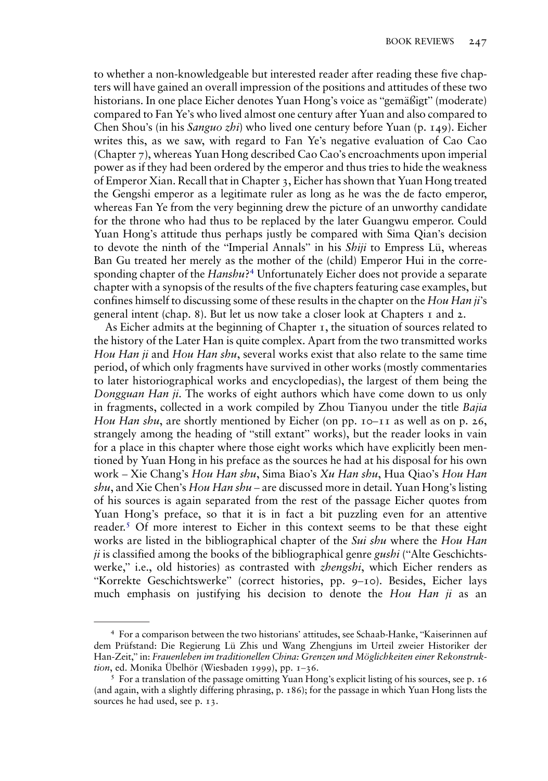to whether a non-knowledgeable but interested reader after reading these five chapters will have gained an overall impression of the positions and attitudes of these two historians. In one place Eicher denotes Yuan Hong's voice as "gemäßigt" (moderate) compared to Fan Ye's who lived almost one century after Yuan and also compared to Chen Shou's (in his Sanguo zhi) who lived one century before Yuan (p. 149). Eicher writes this, as we saw, with regard to Fan Ye's negative evaluation of Cao Cao (Chapter 7), whereas Yuan Hong described Cao Cao's encroachments upon imperial power as if they had been ordered by the emperor and thus tries to hide the weakness of Emperor Xian. Recall that in Chapter 3, Eicher has shown that Yuan Hong treated the Gengshi emperor as a legitimate ruler as long as he was the de facto emperor, whereas Fan Ye from the very beginning drew the picture of an unworthy candidate for the throne who had thus to be replaced by the later Guangwu emperor. Could Yuan Hong's attitude thus perhaps justly be compared with Sima Qian's decision to devote the ninth of the "Imperial Annals" in his Shiji to Empress Lü, whereas Ban Gu treated her merely as the mother of the (child) Emperor Hui in the corresponding chapter of the *Hanshu*?<sup>4</sup> Unfortunately Eicher does not provide a separate chapter with a synopsis of the results of the five chapters featuring case examples, but confines himself to discussing some of these results in the chapter on the Hou Han ji's general intent (chap. 8). But let us now take a closer look at Chapters 1 and 2.

As Eicher admits at the beginning of Chapter 1, the situation of sources related to the history of the Later Han is quite complex. Apart from the two transmitted works Hou Han ji and Hou Han shu, several works exist that also relate to the same time period, of which only fragments have survived in other works (mostly commentaries to later historiographical works and encyclopedias), the largest of them being the Dongguan Han ji. The works of eight authors which have come down to us only in fragments, collected in a work compiled by Zhou Tianyou under the title Bajia Hou Han shu, are shortly mentioned by Eicher (on pp.  $10-11$  as well as on p. 26, strangely among the heading of "still extant" works), but the reader looks in vain for a place in this chapter where those eight works which have explicitly been mentioned by Yuan Hong in his preface as the sources he had at his disposal for his own work – Xie Chang's Hou Han shu, Sima Biao's Xu Han shu, Hua Qiao's Hou Han  $shu$ , and Xie Chen's Hou Han  $shu$  – are discussed more in detail. Yuan Hong's listing of his sources is again separated from the rest of the passage Eicher quotes from Yuan Hong's preface, so that it is in fact a bit puzzling even for an attentive reader.<sup>5</sup> Of more interest to Eicher in this context seems to be that these eight works are listed in the bibliographical chapter of the *Sui shu* where the *Hou Han*  $ji$  is classified among the books of the bibliographical genre *gushi* ("Alte Geschichtswerke," i.e., old histories) as contrasted with *zhengshi*, which Eicher renders as "Korrekte Geschichtswerke" (correct histories, pp. 9–10). Besides, Eicher lays much emphasis on justifying his decision to denote the Hou Han ji as an

<sup>4</sup> For a comparison between the two historians' attitudes, see Schaab-Hanke, "Kaiserinnen auf dem Prüfstand: Die Regierung Lü Zhis und Wang Zhengjuns im Urteil zweier Historiker der Han-Zeit," in: Frauenleben im traditionellen China: Grenzen und Möglichkeiten einer Rekonstruktion, ed. Monika Übelhör (Wiesbaden 1999), pp. 1–36.<br><sup>5</sup> For a translation of the passage omitting Yuan Hong's explicit listing of his sources, see p. 16

<sup>(</sup>and again, with a slightly differing phrasing, p. 186); for the passage in which Yuan Hong lists the sources he had used, see p. 13.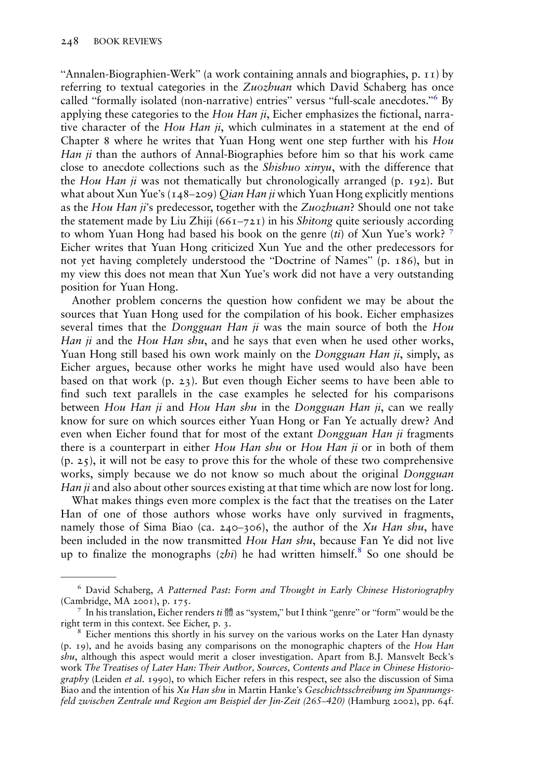"Annalen-Biographien-Werk" (a work containing annals and biographies, p. 11) by referring to textual categories in the  $Zuozbuan$  which David Schaberg has once called "formally isolated (non-narrative) entries" versus "full-scale anecdotes." <sup>6</sup> By applying these categories to the  $Hou Han ji$ , Eicher emphasizes the fictional, narrative character of the Hou Han *ii*, which culminates in a statement at the end of Chapter 8 where he writes that Yuan Hong went one step further with his Hou Han ji than the authors of Annal-Biographies before him so that his work came close to anecdote collections such as the Shishuo xinyu, with the difference that the Hou Han ji was not thematically but chronologically arranged (p. 192). But what about Xun Yue's ( $148-209$ ) *Qian Han ji* which Yuan Hong explicitly mentions as the Hou Han ji's predecessor, together with the  $Zuozbuan$ ? Should one not take the statement made by Liu Zhiji ( $661-721$ ) in his *Shitong* quite seriously according to whom Yuan Hong had based his book on the genre (ti) of Xun Yue's work?  $7$ Eicher writes that Yuan Hong criticized Xun Yue and the other predecessors for not yet having completely understood the "Doctrine of Names" (p. 186), but in my view this does not mean that Xun Yue's work did not have a very outstanding position for Yuan Hong.

Another problem concerns the question how confident we may be about the sources that Yuan Hong used for the compilation of his book. Eicher emphasizes several times that the *Dongguan Han ji* was the main source of both the *Hou* Han ji and the Hou Han shu, and he says that even when he used other works, Yuan Hong still based his own work mainly on the *Dongguan Han ji*, simply, as Eicher argues, because other works he might have used would also have been based on that work (p. 23). But even though Eicher seems to have been able to find such text parallels in the case examples he selected for his comparisons between Hou Han ji and Hou Han shu in the Dongguan Han ji, can we really know for sure on which sources either Yuan Hong or Fan Ye actually drew? And even when Eicher found that for most of the extant *Dongguan Han ji* fragments there is a counterpart in either Hou Han shu or Hou Han ji or in both of them (p. 25), it will not be easy to prove this for the whole of these two comprehensive works, simply because we do not know so much about the original Dongguan Han ji and also about other sources existing at that time which are now lost for long.

What makes things even more complex is the fact that the treatises on the Later Han of one of those authors whose works have only survived in fragments, namely those of Sima Biao (ca. 240–306), the author of the Xu Han shu, have been included in the now transmitted Hou Han shu, because Fan Ye did not live up to finalize the monographs  $(zhi)$  he had written himself.<sup>8</sup> So one should be

<sup>6</sup> David Schaberg, A Patterned Past: Form and Thought in Early Chinese Historiography (Cambridge, MA 2001), p. 175.<br><sup>7</sup> In his translation, Eicher renders *ti* 體 as "system," but I think "genre" or "form" would be the

right term in this context. See Eicher, p. 3. <sup>8</sup> Eicher mentions this shortly in his survey on the various works on the Later Han dynasty

<sup>(</sup>p. 19), and he avoids basing any comparisons on the monographic chapters of the Hou Han shu, although this aspect would merit a closer investigation. Apart from B.J. Mansvelt Beck's work The Treatises of Later Han: Their Author, Sources, Contents and Place in Chinese Historiography (Leiden et al. 1990), to which Eicher refers in this respect, see also the discussion of Sima Biao and the intention of his Xu Han shu in Martin Hanke's Geschichtsschreibung im Spannungsfeld zwischen Zentrale und Region am Beispiel der Jin-Zeit (265–420) (Hamburg 2002), pp. 64f.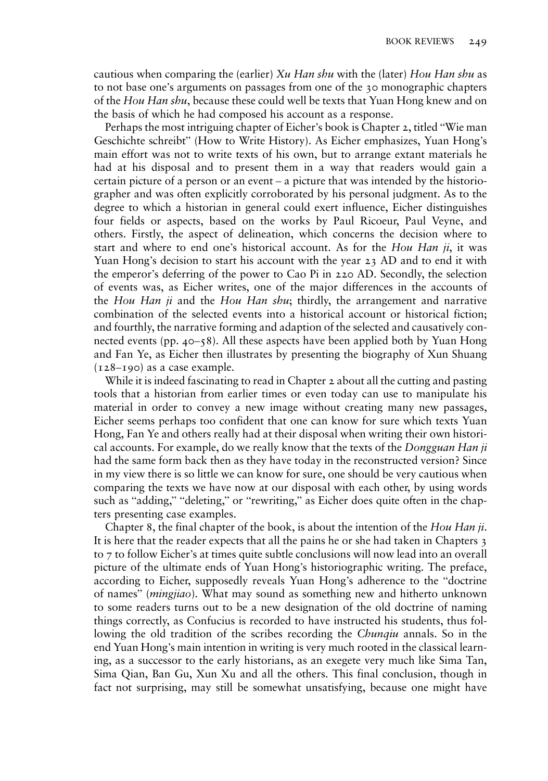cautious when comparing the (earlier)  $Xu$  Han shu with the (later) Hou Han shu as to not base one's arguments on passages from one of the 30 monographic chapters of the Hou Han shu, because these could well be texts that Yuan Hong knew and on the basis of which he had composed his account as a response.

Perhaps the most intriguing chapter of Eicher's book is Chapter 2, titled "Wie man Geschichte schreibt" (How to Write History). As Eicher emphasizes, Yuan Hong's main effort was not to write texts of his own, but to arrange extant materials he had at his disposal and to present them in a way that readers would gain a certain picture of a person or an event – a picture that was intended by the historiographer and was often explicitly corroborated by his personal judgment. As to the degree to which a historian in general could exert influence, Eicher distinguishes four fields or aspects, based on the works by Paul Ricoeur, Paul Veyne, and others. Firstly, the aspect of delineation, which concerns the decision where to start and where to end one's historical account. As for the Hou Han  $ji$ , it was Yuan Hong's decision to start his account with the year 23 AD and to end it with the emperor's deferring of the power to Cao Pi in 220 AD. Secondly, the selection of events was, as Eicher writes, one of the major differences in the accounts of the Hou Han ji and the Hou Han shu; thirdly, the arrangement and narrative combination of the selected events into a historical account or historical fiction; and fourthly, the narrative forming and adaption of the selected and causatively connected events (pp. 40–58). All these aspects have been applied both by Yuan Hong and Fan Ye, as Eicher then illustrates by presenting the biography of Xun Shuang  $(128 - 190)$  as a case example.

While it is indeed fascinating to read in Chapter 2 about all the cutting and pasting tools that a historian from earlier times or even today can use to manipulate his material in order to convey a new image without creating many new passages, Eicher seems perhaps too confident that one can know for sure which texts Yuan Hong, Fan Ye and others really had at their disposal when writing their own historical accounts. For example, do we really know that the texts of the *Dongguan Han ji* had the same form back then as they have today in the reconstructed version? Since in my view there is so little we can know for sure, one should be very cautious when comparing the texts we have now at our disposal with each other, by using words such as "adding," "deleting," or "rewriting," as Eicher does quite often in the chapters presenting case examples.

Chapter 8, the final chapter of the book, is about the intention of the Hou Han ji. It is here that the reader expects that all the pains he or she had taken in Chapters 3 to 7 to follow Eicher's at times quite subtle conclusions will now lead into an overall picture of the ultimate ends of Yuan Hong's historiographic writing. The preface, according to Eicher, supposedly reveals Yuan Hong's adherence to the "doctrine of names" (mingjiao). What may sound as something new and hitherto unknown to some readers turns out to be a new designation of the old doctrine of naming things correctly, as Confucius is recorded to have instructed his students, thus following the old tradition of the scribes recording the *Chunqiu* annals. So in the end Yuan Hong's main intention in writing is very much rooted in the classical learning, as a successor to the early historians, as an exegete very much like Sima Tan, Sima Qian, Ban Gu, Xun Xu and all the others. This final conclusion, though in fact not surprising, may still be somewhat unsatisfying, because one might have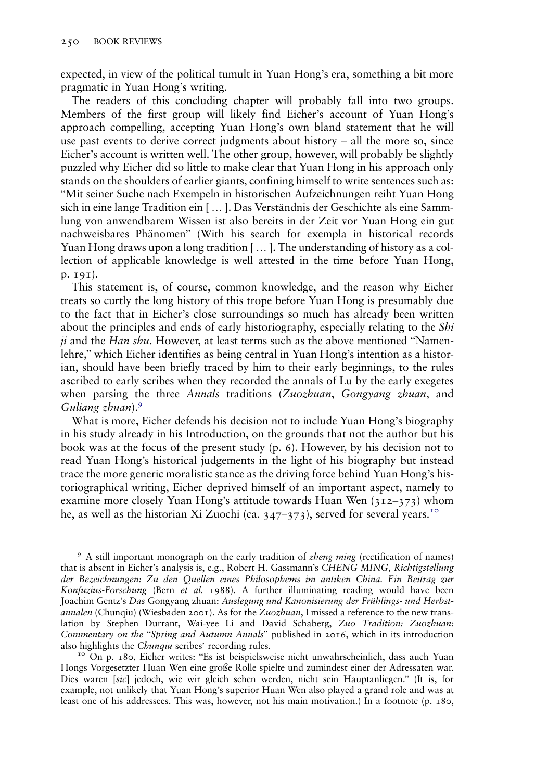expected, in view of the political tumult in Yuan Hong's era, something a bit more pragmatic in Yuan Hong's writing.

The readers of this concluding chapter will probably fall into two groups. Members of the first group will likely find Eicher's account of Yuan Hong's approach compelling, accepting Yuan Hong's own bland statement that he will use past events to derive correct judgments about history – all the more so, since Eicher's account is written well. The other group, however, will probably be slightly puzzled why Eicher did so little to make clear that Yuan Hong in his approach only stands on the shoulders of earlier giants, confining himself to write sentences such as: "Mit seiner Suche nach Exempeln in historischen Aufzeichnungen reiht Yuan Hong sich in eine lange Tradition ein [ … ]. Das Verständnis der Geschichte als eine Sammlung von anwendbarem Wissen ist also bereits in der Zeit vor Yuan Hong ein gut nachweisbares Phänomen" (With his search for exempla in historical records Yuan Hong draws upon a long tradition [ … ]. The understanding of history as a collection of applicable knowledge is well attested in the time before Yuan Hong, p. 191).

This statement is, of course, common knowledge, and the reason why Eicher treats so curtly the long history of this trope before Yuan Hong is presumably due to the fact that in Eicher's close surroundings so much has already been written about the principles and ends of early historiography, especially relating to the Shi ji and the Han shu. However, at least terms such as the above mentioned "Namenlehre," which Eicher identifies as being central in Yuan Hong's intention as a historian, should have been briefly traced by him to their early beginnings, to the rules ascribed to early scribes when they recorded the annals of Lu by the early exegetes when parsing the three Annals traditions (Zuozhuan, Gongyang zhuan, and Guliang zhuan).<sup>9</sup>

What is more, Eicher defends his decision not to include Yuan Hong's biography in his study already in his Introduction, on the grounds that not the author but his book was at the focus of the present study (p. 6). However, by his decision not to read Yuan Hong's historical judgements in the light of his biography but instead trace the more generic moralistic stance as the driving force behind Yuan Hong's historiographical writing, Eicher deprived himself of an important aspect, namely to examine more closely Yuan Hong's attitude towards Huan Wen (312–373) whom he, as well as the historian Xi Zuochi (ca.  $347-373$ ), served for several years.<sup>10</sup>

<sup>&</sup>lt;sup>9</sup> A still important monograph on the early tradition of *zheng ming* (rectification of names) that is absent in Eicher's analysis is, e.g., Robert H. Gassmann's CHENG MING, Richtigstellung der Bezeichnungen: Zu den Quellen eines Philosophems im antiken China. Ein Beitrag zur Konfuzius-Forschung (Bern et al. 1988). A further illuminating reading would have been Joachim Gentz's Das Gongyang zhuan: Auslegung und Kanonisierung der Frühlings- und Herbstannalen (Chunqiu) (Wiesbaden 2001). As for the Zuozhuan, I missed a reference to the new translation by Stephen Durrant, Wai-yee Li and David Schaberg, Zuo Tradition: Zuozhuan: Commentary on the "Spring and Autumn Annals" published in 2016, which in its introduction also highlights the Chunqiu scribes' recording rules.<br><sup>10</sup> On p. 180, Eicher writes: "Es ist beispielsweise nicht unwahrscheinlich, dass auch Yuan

Hongs Vorgesetzter Huan Wen eine große Rolle spielte und zumindest einer der Adressaten war. Dies waren [sic] jedoch, wie wir gleich sehen werden, nicht sein Hauptanliegen." (It is, for example, not unlikely that Yuan Hong's superior Huan Wen also played a grand role and was at least one of his addressees. This was, however, not his main motivation.) In a footnote (p. 180,